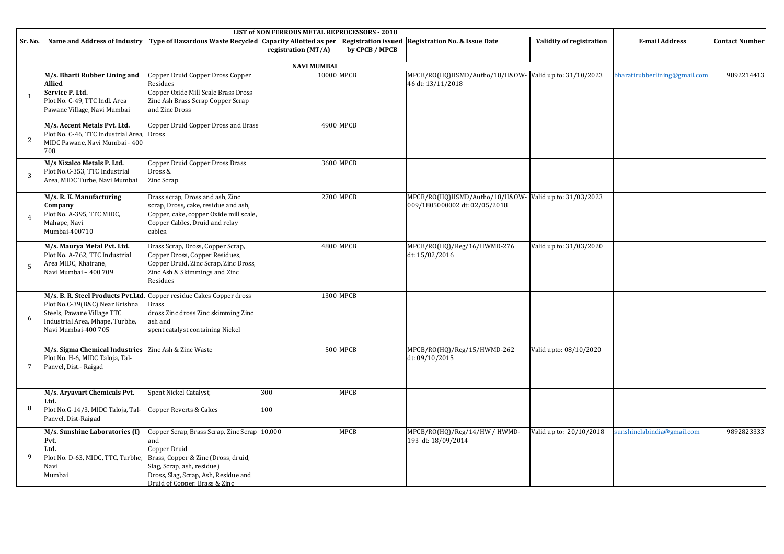|                 |                                                                                                                                   |                                                                                                                                                                                                                   | LIST of NON FERROUS METAL REPROCESSORS - 2018 |                 |                                                                 |                          |                               |                       |
|-----------------|-----------------------------------------------------------------------------------------------------------------------------------|-------------------------------------------------------------------------------------------------------------------------------------------------------------------------------------------------------------------|-----------------------------------------------|-----------------|-----------------------------------------------------------------|--------------------------|-------------------------------|-----------------------|
| Sr. No.         | Name and Address of Industry                                                                                                      | Type of Hazardous Waste Recycled   Capacity Allotted as per   Registration issued   Registration No. & Issue Date                                                                                                 | registration (MT/A)                           | by CPCB / MPCB  |                                                                 | Validity of registration | <b>E-mail Address</b>         | <b>Contact Number</b> |
|                 |                                                                                                                                   |                                                                                                                                                                                                                   | <b>NAVI MUMBAI</b>                            |                 |                                                                 |                          |                               |                       |
| $\overline{1}$  | M/s. Bharti Rubber Lining and<br><b>Allied</b><br>Service P. Ltd.<br>Plot No. C-49, TTC Indl. Area<br>Pawane Village, Navi Mumbai | Copper Druid Copper Dross Copper<br>Residues<br>Copper Oxide Mill Scale Brass Dross<br>Zinc Ash Brass Scrap Copper Scrap<br>and Zinc Dross                                                                        | 10000 MPCB                                    |                 | MPCB/RO(HQ)HSMD/Autho/18/H&OW-<br>46 dt: 13/11/2018             | Valid up to: 31/10/2023  | bharatirubberlining@gmail.com | 9892214413            |
| 2               | M/s. Accent Metals Pvt. Ltd.<br>Plot No. C-46, TTC Industrial Area, Dross<br>MIDC Pawane, Navi Mumbai - 400<br>708                | Copper Druid Copper Dross and Brass                                                                                                                                                                               |                                               | 4900 MPCB       |                                                                 |                          |                               |                       |
| 3               | M/s Nizalco Metals P. Ltd.<br>Plot No.C-353, TTC Industrial<br>Area, MIDC Turbe, Navi Mumbai                                      | Copper Druid Copper Dross Brass<br>Dross &<br>Zinc Scrap                                                                                                                                                          |                                               | 3600 MPCB       |                                                                 |                          |                               |                       |
| $\overline{4}$  | M/s. R. K. Manufacturing<br>Company<br>Plot No. A-395, TTC MIDC,<br>Mahape, Navi<br>Mumbai-400710                                 | Brass scrap, Dross and ash, Zinc<br>scrap, Dross, cake, residue and ash,<br>Copper, cake, copper Oxide mill scale,<br>Copper Cables, Druid and relay<br>cables.                                                   |                                               | 2700 MPCB       | MPCB/RO(HQ)HSMD/Autho/18/H&OW-<br>009/1805000002 dt: 02/05/2018 | Valid up to: 31/03/2023  |                               |                       |
| $\overline{5}$  | M/s. Maurya Metal Pvt. Ltd.<br>Plot No. A-762, TTC Industrial<br>Area MIDC, Khairane,<br>Navi Mumbai - 400 709                    | Brass Scrap, Dross, Copper Scrap,<br>Copper Dross, Copper Residues,<br>Copper Druid, Zinc Scrap, Zinc Dross,<br>Zinc Ash & Skimmings and Zinc<br>Residues                                                         |                                               | 4800 MPCB       | MPCB/RO(HQ)/Reg/16/HWMD-276<br>dt: 15/02/2016                   | Valid up to: 31/03/2020  |                               |                       |
| 6               | Plot No.C-39(B&C) Near Krishna<br>Steels, Pawane Village TTC<br>Industrial Area, Mhape, Turbhe,<br>Navi Mumbai-400 705            | M/s. B. R. Steel Products Pvt.Ltd. Copper residue Cakes Copper dross<br><b>Brass</b><br>dross Zinc dross Zinc skimming Zinc<br>ash and<br>spent catalyst containing Nickel                                        |                                               | 1300 MPCB       |                                                                 |                          |                               |                       |
| $7\phantom{.0}$ | M/s. Sigma Chemical Industries Zinc Ash & Zinc Waste<br>Plot No. H-6, MIDC Taloja, Tal-<br>Panvel, Dist.- Raigad                  |                                                                                                                                                                                                                   |                                               | <b>500 MPCB</b> | MPCB/RO(HQ)/Reg/15/HWMD-262<br>dt: 09/10/2015                   | Valid upto: 08/10/2020   |                               |                       |
| 8               | M/s. Aryavart Chemicals Pvt.<br>Ltd.<br>Plot No.G-14/3, MIDC Taloja, Tal-<br>Panvel, Dist-Raigad                                  | Spent Nickel Catalyst,<br>Copper Reverts & Cakes                                                                                                                                                                  | 300<br>100                                    | MPCB            |                                                                 |                          |                               |                       |
| 9               | M/s. Sunshine Laboratories (I)<br>Pvt.<br>Ltd.<br>Plot No. D-63, MIDC, TTC, Turbhe,<br>Navi<br>Mumbai                             | Copper Scrap, Brass Scrap, Zinc Scrap 10,000<br>and<br>Copper Druid<br>Brass, Copper & Zinc (Dross, druid,<br>Slag, Scrap, ash, residue)<br>Dross, Slag, Scrap, Ash, Residue and<br>Druid of Copper, Brass & Zinc |                                               | <b>MPCB</b>     | MPCB/RO(HQ)/Reg/14/HW / HWMD-<br>193 dt: 18/09/2014             | Valid up to: 20/10/2018  | sunshinelabindia@gmail.com    | 9892823333            |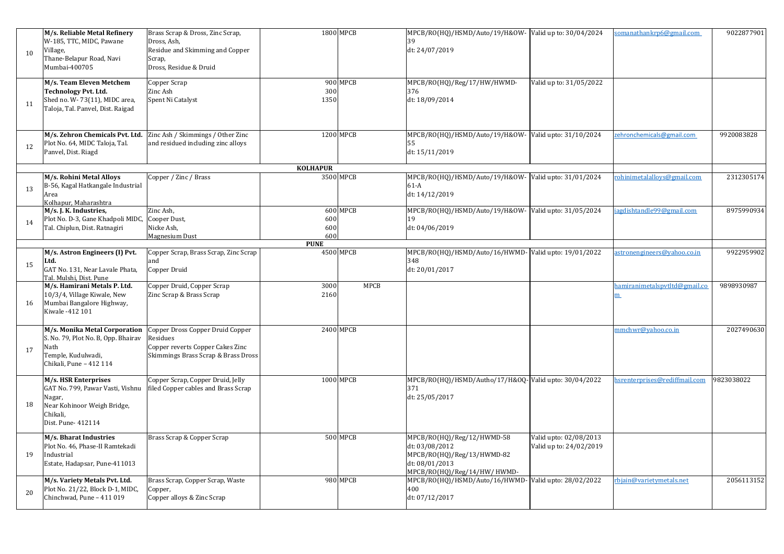| 10 | M/s. Reliable Metal Refinery<br>W-185, TTC, MIDC, Pawane<br>Village,<br>Thane-Belapur Road, Navi<br>Mumbai-400705                   | Brass Scrap & Dross, Zinc Scrap,<br>Dross, Ash,<br>Residue and Skimming and Copper<br>Scrap,<br>Dross, Residue & Druid  |                   | 1800 MPCB       | MPCB/RO(HQ)/HSMD/Auto/19/H&OW- Valid up to: 30/04/2024<br>39<br>dt: 24/07/2019                                              |                                                   | somanathankrp6@gmail.com           | 9022877901 |
|----|-------------------------------------------------------------------------------------------------------------------------------------|-------------------------------------------------------------------------------------------------------------------------|-------------------|-----------------|-----------------------------------------------------------------------------------------------------------------------------|---------------------------------------------------|------------------------------------|------------|
| 11 | M/s. Team Eleven Metchem<br><b>Technology Pvt. Ltd.</b><br>Shed no. W-73(11), MIDC area,<br>Taloja, Tal. Panvel, Dist. Raigad       | Copper Scrap<br>Zinc Ash<br>Spent Ni Catalyst                                                                           | 300<br>1350       | 900 MPCB        | MPCB/RO(HQ)/Reg/17/HW/HWMD-<br>376<br>dt: 18/09/2014                                                                        | Valid up to: 31/05/2022                           |                                    |            |
| 12 | M/s. Zehron Chemicals Pvt. Ltd.<br>Plot No. 64, MIDC Taloja, Tal.<br>Panvel, Dist. Riagd                                            | Zinc Ash / Skimmings / Other Zinc<br>and residued including zinc alloys                                                 |                   | 1200 MPCB       | MPCB/RO(HQ)/HSMD/Auto/19/H&OW-Valid upto: 31/10/2024<br>dt: 15/11/2019                                                      |                                                   | zehronchemicals@gmail.com          | 9920083828 |
|    |                                                                                                                                     |                                                                                                                         | <b>KOLHAPUR</b>   |                 |                                                                                                                             |                                                   |                                    |            |
| 13 | M/s. Rohini Metal Alloys<br>B-56, Kagal Hatkangale Industrial<br>Area<br>Kolhapur, Maharashtra                                      | Copper / Zinc / Brass                                                                                                   |                   | 3500 MPCB       | MPCB/RO(HQ)/HSMD/Auto/19/H&OW- Valid upto: 31/01/2024<br>$61-A$<br>dt: 14/12/2019                                           |                                                   | rohinimetalalloys@gmail.com        | 2312305174 |
| 14 | M/s. J. K. Industries,<br>Plot No. D-3, Gane Khadpoli MIDC,<br>Tal. Chiplun, Dist. Ratnagiri                                        | Zinc Ash,<br>Cooper Dust,<br>Nicke Ash,<br>Magnesium Dust                                                               | 600<br>600<br>600 | 600 MPCB        | MPCB/RO(HQ)/HSMD/Auto/19/H&OW- Valid upto: 31/05/2024<br>dt: 04/06/2019                                                     |                                                   | agdishtandle99@gmail.com           | 8975990934 |
|    |                                                                                                                                     |                                                                                                                         | <b>PUNE</b>       |                 |                                                                                                                             |                                                   |                                    |            |
| 15 | M/s. Astron Engineers (I) Pvt.<br>Ltd.<br>GAT No. 131, Near Lavale Phata,<br>Tal. Mulshi, Dist. Pune                                | Copper Scrap, Brass Scrap, Zinc Scrap<br>and<br>Copper Druid                                                            |                   | 4500 MPCB       | MPCB/RO(HQ)/HSMD/Auto/16/HWMD-Valid upto: 19/01/2022<br>348<br>dt: 20/01/2017                                               |                                                   | astronengineers@yahoo.co.in        | 9922959902 |
| 16 | M/s. Hamirani Metals P. Ltd.<br>10/3/4, Village Kiwale, New<br>Mumbai Bangalore Highway,<br>Kiwale -412 101                         | Copper Druid, Copper Scrap<br>Zinc Scrap & Brass Scrap                                                                  | 3000<br>2160      | <b>MPCB</b>     |                                                                                                                             |                                                   | hamiranimetalspytltd@gmail.co<br>m | 9898930987 |
| 17 | M/s. Monika Metal Corporation<br>S. No. 79, Plot No. B, Opp. Bhairav<br>Nath<br>Temple, Kudulwadi,<br>Chikali, Pune - 412 114       | Copper Dross Copper Druid Copper<br>Residues<br>Copper reverts Copper Cakes Zinc<br>Skimmings Brass Scrap & Brass Dross |                   | 2400 MPCB       |                                                                                                                             |                                                   | nmchwr@yahoo.co.in                 | 2027490630 |
| 18 | M/s. HSR Enterprises<br>GAT No. 799, Pawar Vasti, Vishnu<br>Nagar,<br>Near Kohinoor Weigh Bridge,<br>Chikali,<br>Dist. Pune- 412114 | Copper Scrap, Copper Druid, Jelly<br>filed Copper cables and Brass Scrap                                                |                   | 1000 MPCB       | MPCB/RO(HQ)/HSMD/Autho/17/H&OQ-Valid upto: 30/04/2022<br>371<br>dt: 25/05/2017                                              |                                                   | srenterprises@rediffmail.com       | 9823038022 |
| 19 | M/s. Bharat Industries<br>Plot No. 46, Phase-II Ramtekadi<br>Industrial<br>Estate, Hadapsar, Pune-411013                            | Brass Scrap & Copper Scrap                                                                                              |                   | <b>500 MPCB</b> | MPCB/RO(HQ)/Reg/12/HWMD-58<br>dt: 03/08/2012<br>MPCB/RO(HQ)/Reg/13/HWMD-82<br>dt: 08/01/2013<br>MPCB/RO(HQ)/Reg/14/HW/HWMD- | Valid upto: 02/08/2013<br>Valid up to: 24/02/2019 |                                    |            |
| 20 | M/s. Variety Metals Pvt. Ltd.<br>Plot No. 21/22, Block D-1, MIDC,<br>Chinchwad, Pune - 411 019                                      | Brass Scrap, Copper Scrap, Waste<br>Copper,<br>Copper alloys & Zinc Scrap                                               |                   | 980 MPCB        | MPCB/RO(HQ)/HSMD/Auto/16/HWMD-Valid upto: 28/02/2022<br>400<br>dt: 07/12/2017                                               |                                                   | rbjain@varietymetals.net           | 2056113152 |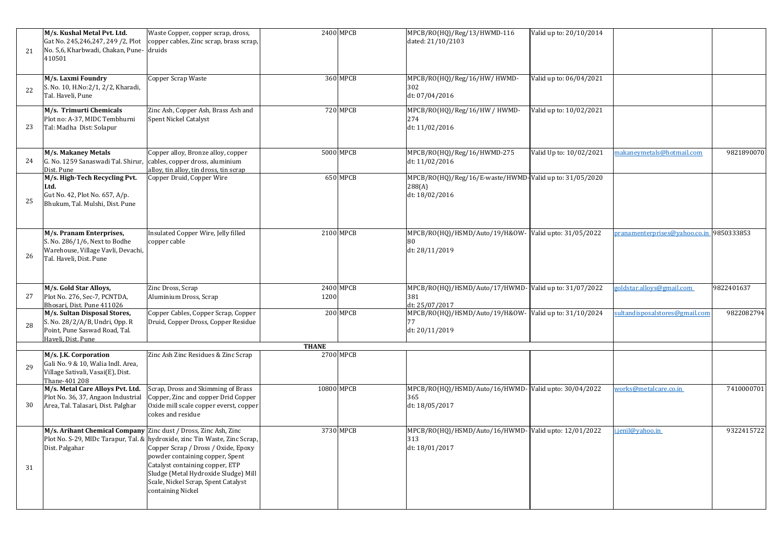| 21 | M/s. Kushal Metal Pvt. Ltd.<br>Gat No. 245,246,247, 249 /2, Plot<br>No. 5,6, Kharbwadi, Chakan, Pune- druids<br>410501     | Waste Copper, copper scrap, dross,<br>copper cables, Zinc scrap, brass scrap,                                                                                                                                                                                                               |              | 2400 MPCB | MPCB/RO(HQ)/Reg/13/HWMD-116<br>dated: 21/10/2103                                    | Valid up to: 20/10/2014 |                                          |            |
|----|----------------------------------------------------------------------------------------------------------------------------|---------------------------------------------------------------------------------------------------------------------------------------------------------------------------------------------------------------------------------------------------------------------------------------------|--------------|-----------|-------------------------------------------------------------------------------------|-------------------------|------------------------------------------|------------|
| 22 | M/s. Laxmi Foundry<br>S. No. 10, H.No:2/1, 2/2, Kharadi,<br>Tal. Haveli, Pune                                              | Copper Scrap Waste                                                                                                                                                                                                                                                                          |              | 360 MPCB  | MPCB/RO(HQ)/Reg/16/HW/HWMD-<br>302<br>dt: 07/04/2016                                | Valid up to: 06/04/2021 |                                          |            |
| 23 | M/s. Trimurti Chemicals<br>Plot no: A-37, MIDC Tembhurni<br>Tal: Madha Dist: Solapur                                       | Zinc Ash, Copper Ash, Brass Ash and<br>Spent Nickel Catalyst                                                                                                                                                                                                                                |              | 720 MPCB  | MPCB/RO(HQ)/Reg/16/HW / HWMD-<br>274<br>dt: 11/02/2016                              | Valid up to: 10/02/2021 |                                          |            |
| 24 | M/s. Makaney Metals<br>G. No. 1259 Sanaswadi Tal. Shirur<br>Dist. Pune                                                     | Copper alloy, Bronze alloy, copper<br>cables, copper dross, aluminium<br>alloy, tin alloy, tin dross, tin scrap                                                                                                                                                                             |              | 5000 MPCB | MPCB/RO(HQ)/Reg/16/HWMD-275<br>dt: 11/02/2016                                       | Valid Up to: 10/02/2021 | makaneymetals@hotmail.com                | 9821890070 |
| 25 | M/s. High-Tech Recycling Pvt.<br>Ltd.<br>Gut No. 42, Plot No. 657, A/p.<br>Bhukum, Tal. Mulshi, Dist. Pune                 | Copper Druid, Copper Wire                                                                                                                                                                                                                                                                   |              | 650 MPCB  | MPCB/RO(HQ)/Reg/16/E-waste/HWMD-Valid up to: 31/05/2020<br>288(A)<br>dt: 18/02/2016 |                         |                                          |            |
| 26 | M/s. Pranam Enterprises,<br>S. No. 286/1/6, Next to Bodhe<br>Warehouse, Village Vavli, Devachi,<br>Tal. Haveli, Dist. Pune | Insulated Copper Wire, Jelly filled<br>copper cable                                                                                                                                                                                                                                         |              | 2100 MPCB | MPCB/RO(HQ)/HSMD/Auto/19/H&OW-Valid upto: 31/05/2022<br>dt: 28/11/2019              |                         | pranamenterprises@yahoo.co.in 9850333853 |            |
| 27 | M/s. Gold Star Alloys,<br>Plot No. 276, Sec-7, PCNTDA,<br>Bhosari, Dist. Pune 411026                                       | Zinc Dross, Scrap<br>Aluminium Dross, Scrap                                                                                                                                                                                                                                                 | 1200         | 2400 MPCB | MPCB/RO(HQ)/HSMD/Auto/17/HWMD-Valid up to: 31/07/2022<br>381<br>dt: 25/07/2017      |                         | goldstar.alloys@gmail.com                | 9822401637 |
| 28 | M/s. Sultan Disposal Stores,<br>S. No. 28/2/A/B, Undri, Opp. R<br>Point, Pune Saswad Road, Tal.<br>Haveli, Dist. Pune      | Copper Cables, Copper Scrap, Copper<br>Druid, Copper Dross, Copper Residue                                                                                                                                                                                                                  |              | 200 MPCB  | MPCB/RO(HQ)/HSMD/Auto/19/H&OW- Valid up to: 31/10/2024<br>dt: 20/11/2019            |                         | sultandisposalstores@gmail.com           | 9822082794 |
|    |                                                                                                                            |                                                                                                                                                                                                                                                                                             | <b>THANE</b> |           |                                                                                     |                         |                                          |            |
| 29 | M/s. J.K. Corporation<br>Gali No. 9 & 10, Walia Indl. Area,<br>Village Sativali, Vasai(E), Dist.<br>Thane-401 208          | Zinc Ash Zinc Residues & Zinc Scrap                                                                                                                                                                                                                                                         |              | 2700 MPCB |                                                                                     |                         |                                          |            |
| 30 | M/s. Metal Care Alloys Pvt. Ltd.<br>Plot No. 36, 37, Angaon Industrial<br>Area, Tal. Talasari, Dist. Palghar               | Scrap, Dross and Skimming of Brass<br>Copper, Zinc and copper Drid Copper<br>Oxide mill scale copper everst, copper<br>cokes and residue                                                                                                                                                    | 10800 MPCB   |           | MPCB/RO(HQ)/HSMD/Auto/16/HWMD-Valid upto: 30/04/2022<br>365<br>dt: 18/05/2017       |                         | works@metalcare.co.in                    | 7410000701 |
| 31 | M/s. Arihant Chemical Company Zinc dust / Dross, Zinc Ash, Zinc<br>Dist. Palgahar                                          | Plot No. S-29, MIDc Tarapur, Tal. & hydroxide, zinc Tin Waste, Zinc Scrap,<br>Copper Scrap / Dross / Oxide, Epoxy<br>powder containing copper, Spent<br>Catalyst containing copper, ETP<br>Sludge (Metal Hydroxide Sludge) Mill<br>Scale, Nickel Scrap, Spent Catalyst<br>containing Nickel |              | 3730 MPCB | MPCB/RO(HQ)/HSMD/Auto/16/HWMD-Valid upto: 12/01/2022<br>313<br>dt: 18/01/2017       |                         | i.jenil@yahoo.in                         | 9322415722 |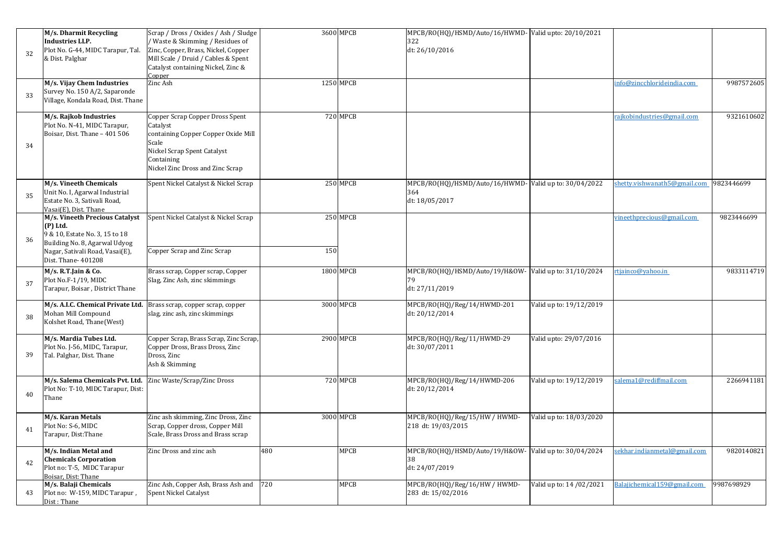| 32 | M/s. Dharmit Recycling<br><b>Industries LLP.</b><br>Plot No. G-44, MIDC Tarapur, Tal.<br>& Dist. Palghar                                                                | Scrap / Dross / Oxides / Ash / Sludge<br>/ Waste & Skimming / Residues of<br>Zinc, Copper, Brass, Nickel, Copper<br>Mill Scale / Druid / Cables & Spent<br>Catalyst containing Nickel, Zinc &<br>Copper |     | 3600 MPCB       | MPCB/RO(HQ)/HSMD/Auto/16/HWMD-Valid upto: 20/10/2021<br>322<br>dt: 26/10/2016  |                          |                              |            |
|----|-------------------------------------------------------------------------------------------------------------------------------------------------------------------------|---------------------------------------------------------------------------------------------------------------------------------------------------------------------------------------------------------|-----|-----------------|--------------------------------------------------------------------------------|--------------------------|------------------------------|------------|
| 33 | M/s. Vijay Chem Industries<br>Survey No. 150 A/2, Saparonde<br>Village, Kondala Road, Dist. Thane                                                                       | Zinc Ash                                                                                                                                                                                                |     | 1250 MPCB       |                                                                                |                          | info@zincchlorideindia.com   | 9987572605 |
| 34 | M/s. Rajkob Industries<br>Plot No. N-41, MIDC Tarapur,<br>Boisar, Dist. Thane - 401 506                                                                                 | Copper Scrap Copper Dross Spent<br>Catalyst<br>containing Copper Copper Oxide Mill<br>Scale<br>Nickel Scrap Spent Catalyst<br>Containing<br>Nickel Zinc Dross and Zinc Scrap                            |     | <b>720 MPCB</b> |                                                                                |                          | rajkobindustries@gmail.com   | 9321610602 |
| 35 | M/s. Vineeth Chemicals<br>Unit No. I, Agarwal Industrial<br>Estate No. 3, Sativali Road,<br>Vasai(E), Dist. Thane                                                       | Spent Nickel Catalyst & Nickel Scrap                                                                                                                                                                    |     | 250 MPCB        | MPCB/RO(HQ)/HSMD/Auto/16/HWMD-Valid up to: 30/04/2022<br>364<br>dt: 18/05/2017 |                          | shetty.vishwanath5@gmail.com | 9823446699 |
| 36 | M/s. Vineeth Precious Catalyst<br>(P) Ltd.<br>9 & 10, Estate No. 3, 15 to 18<br>Building No. 8, Agarwal Udyog<br>Nagar, Sativali Road, Vasai(E),<br>Dist. Thane- 401208 | Spent Nickel Catalyst & Nickel Scrap<br>Copper Scrap and Zinc Scrap                                                                                                                                     | 150 | 250 MPCB        |                                                                                |                          | vineethprecious@gmail.com    | 9823446699 |
| 37 | M/s. R.T.Jain & Co.<br>Plot No.F-1/19, MIDC<br>Tarapur, Boisar, District Thane                                                                                          | Brass scrap, Copper scrap, Copper<br>Slag, Zinc Ash, zinc skimmings                                                                                                                                     |     | 1800 MPCB       | MPCB/RO(HQ)/HSMD/Auto/19/H&OW-Valid up to: 31/10/2024<br>dt: 27/11/2019        |                          | rtjainco@yahoo.in            | 9833114719 |
| 38 | M/s. A.I.C. Chemical Private Ltd.<br>Mohan Mill Compound<br>Kolshet Road, Thane(West)                                                                                   | Brass scrap, copper scrap, copper<br>slag, zinc ash, zinc skimmings                                                                                                                                     |     | 3000 MPCB       | MPCB/RO(HQ)/Reg/14/HWMD-201<br>dt: 20/12/2014                                  | Valid up to: 19/12/2019  |                              |            |
| 39 | M/s. Mardia Tubes Ltd.<br>Plot No. J-56, MIDC, Tarapur,<br>Tal. Palghar, Dist. Thane                                                                                    | Copper Scrap, Brass Scrap, Zinc Scrap,<br>Copper Dross, Brass Dross, Zinc<br>Dross, Zinc<br>Ash & Skimming                                                                                              |     | 2900 MPCB       | MPCB/RO(HQ)/Reg/11/HWMD-29<br>dt: 30/07/2011                                   | Valid upto: 29/07/2016   |                              |            |
| 40 | M/s. Salema Chemicals Pvt. Ltd.<br>Plot No: T-10, MIDC Tarapur, Dist:<br>Thane                                                                                          | Zinc Waste/Scrap/Zinc Dross                                                                                                                                                                             |     | <b>720 MPCB</b> | MPCB/RO(HQ)/Reg/14/HWMD-206<br>dt: 20/12/2014                                  | Valid up to: 19/12/2019  | salema1@rediffmail.com       | 2266941181 |
| 41 | M/s. Karan Metals<br>Plot No: S-6, MIDC<br>Tarapur, Dist: Thane                                                                                                         | Zinc ash skimming, Zinc Dross, Zinc<br>Scrap, Copper dross, Copper Mill<br>Scale, Brass Dross and Brass scrap                                                                                           |     | 3000 MPCB       | MPCB/RO(HQ)/Reg/15/HW / HWMD-<br>218 dt: 19/03/2015                            | Valid up to: 18/03/2020  |                              |            |
| 42 | M/s. Indian Metal and<br><b>Chemicals Corporation</b><br>Plot no: T-5, MIDC Tarapur<br>Boisar, Dist: Thane                                                              | Zinc Dross and zinc ash                                                                                                                                                                                 | 480 | MPCB            | MPCB/RO(HQ)/HSMD/Auto/19/H&OW-Valid up to: 30/04/2024<br>38<br>dt: 24/07/2019  |                          | sekhar.indianmetal@gmail.com | 9820140821 |
| 43 | M/s. Balaji Chemicals<br>Plot no: W-159, MIDC Tarapur,<br>Dist: Thane                                                                                                   | Zinc Ash, Copper Ash, Brass Ash and 720<br><b>Spent Nickel Catalyst</b>                                                                                                                                 |     | MPCB            | MPCB/RO(HQ)/Reg/16/HW / HWMD-<br>283 dt: 15/02/2016                            | Valid up to: 14 /02/2021 | Balajichemical159@gmail.com  | 9987698929 |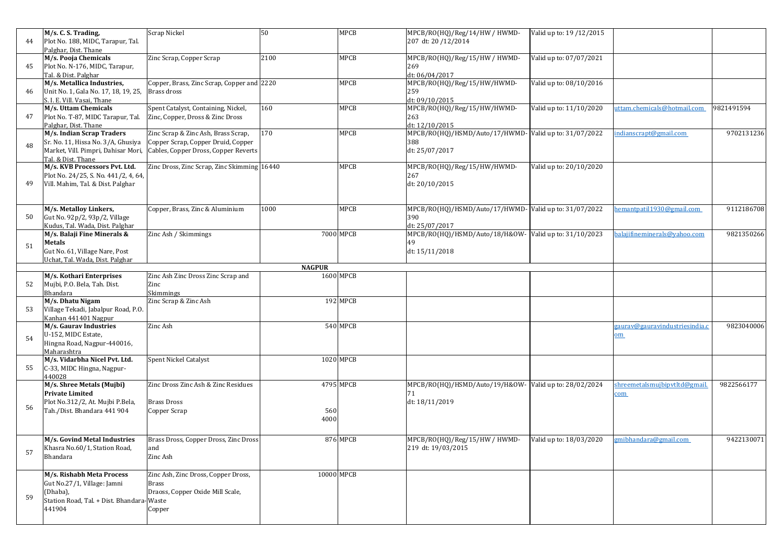| 44 | M/s. C. S. Trading,<br>Plot No. 188, MIDC, Tarapur, Tal.                                                                    | Scrap Nickel                                                                                      | 50            | <b>MPCB</b> | MPCB/RO(HQ)/Reg/14/HW / HWMD-<br>207 dt: 20 / 12/2014                   | Valid up to: 19/12/2015 |                                             |            |
|----|-----------------------------------------------------------------------------------------------------------------------------|---------------------------------------------------------------------------------------------------|---------------|-------------|-------------------------------------------------------------------------|-------------------------|---------------------------------------------|------------|
|    | Palghar, Dist. Thane<br>M/s. Pooja Chemicals                                                                                | Zinc Scrap, Copper Scrap                                                                          | 2100          | <b>MPCB</b> | MPCB/RO(HQ)/Reg/15/HW / HWMD-                                           | Valid up to: 07/07/2021 |                                             |            |
| 45 | Plot No. N-176, MIDC, Tarapur,<br>Tal. & Dist. Palghar<br>M/s. Metallica Industries,                                        | Copper, Brass, Zinc Scrap, Copper and 2220                                                        |               | <b>MPCB</b> | 269<br>dt: 06/04/2017<br>MPCB/RO(HQ)/Reg/15/HW/HWMD-                    | Valid up to: 08/10/2016 |                                             |            |
| 46 | Unit No. 1, Gala No. 17, 18, 19, 25,<br>S. I. E. Vill. Vasai, Thane                                                         | Brass dross                                                                                       |               |             | 259<br>dt: 09/10/2015                                                   |                         |                                             |            |
| 47 | M/s. Uttam Chemicals<br>Plot No. T-87, MIDC Tarapur, Tal.                                                                   | Spent Catalyst, Containing, Nickel,<br>Zinc, Copper, Dross & Zinc Dross                           | 160           | <b>MPCB</b> | MPCB/RO(HQ)/Reg/15/HW/HWMD-<br>263                                      | Valid up to: 11/10/2020 | uttam.chemicals@hotmail.com                 | 9821491594 |
|    | Palghar, Dist. Thane<br>M/s. Indian Scrap Traders                                                                           | Zinc Scrap & Zinc Ash, Brass Scrap,                                                               | 170           | MPCB        | dt: 12/10/2015<br>MPCB/RO(HQ)/HSMD/Auto/17/HWMD-Valid up to: 31/07/2022 |                         | ndianscrapt@gmail.com                       | 9702131236 |
| 48 | Sr. No. 11, Hissa No. 3/A, Ghusiya<br>Market, Vill. Pimpri, Dahisar Mori,<br>Tal. & Dist. Thane                             | Copper Scrap, Copper Druid, Copper<br>Cables, Copper Dross, Copper Reverts                        |               |             | 388<br>dt: 25/07/2017                                                   |                         |                                             |            |
| 49 | M/s. KVB Processors Pvt. Ltd.<br>Plot No. 24/25, S. No. 441/2, 4, 64,<br>Vill. Mahim, Tal. & Dist. Palghar                  | Zinc Dross, Zinc Scrap, Zinc Skimming 16440                                                       |               | MPCB        | MPCB/RO(HQ)/Reg/15/HW/HWMD-<br>267<br>dt: 20/10/2015                    | Valid up to: 20/10/2020 |                                             |            |
|    | M/s. Metalloy Linkers,                                                                                                      | Copper, Brass, Zinc & Aluminium                                                                   | 1000          | MPCB        | MPCB/RO(HQ)/HSMD/Auto/17/HWMD-Valid up to: 31/07/2022                   |                         | nemantpatil1930@gmail.com                   | 9112186708 |
| 50 | Gut No. 92p/2, 93p/2, Village<br>Kudus, Tal. Wada, Dist. Palghar                                                            |                                                                                                   |               |             | 390<br>dt: 25/07/2017                                                   |                         |                                             |            |
| 51 | M/s. Balaji Fine Minerals &<br><b>Metals</b><br>Gut No. 61, Village Nare, Post                                              | Zinc Ash / Skimmings                                                                              |               | 7000 MPCB   | MPCB/RO(HQ)/HSMD/Auto/18/H&OW- Valid up to: 31/10/2023<br>49            |                         | balajifineminerals@yahoo.com                | 9821350266 |
|    | Uchat, Tal. Wada, Dist. Palghar                                                                                             |                                                                                                   | <b>NAGPUR</b> |             | dt: 15/11/2018                                                          |                         |                                             |            |
|    | M/s. Kothari Enterprises                                                                                                    | Zinc Ash Zinc Dross Zinc Scrap and                                                                |               | 1600 MPCB   |                                                                         |                         |                                             |            |
| 52 | Mujbi, P.O. Bela, Tah. Dist.<br>Bhandara                                                                                    | Zinc<br>Skimmings                                                                                 |               |             |                                                                         |                         |                                             |            |
| 53 | M/s. Dhatu Nigam<br>Village Tekadi, Jabalpur Road, P.O.<br>Kanhan 441401 Nagpur                                             | Zinc Scrap & Zinc Ash                                                                             |               | 192 MPCB    |                                                                         |                         |                                             |            |
| 54 | M/s. Gaurav Industries<br>U-152, MIDC Estate,<br>Hingna Road, Nagpur-440016,                                                | Zinc Ash                                                                                          |               | 540 MPCB    |                                                                         |                         | gaurav@gauravindustriesindia.c<br><u>om</u> | 9823040006 |
|    | Maharashtra                                                                                                                 |                                                                                                   |               |             |                                                                         |                         |                                             |            |
| 55 | M/s. Vidarbha Nicel Pvt. Ltd.<br>C-33, MIDC Hingna, Nagpur-<br>440028                                                       | Spent Nickel Catalyst                                                                             |               | 1020 MPCB   |                                                                         |                         |                                             |            |
|    | M/s. Shree Metals (Mujbi)<br>Private Limited                                                                                | Zinc Dross Zinc Ash & Zinc Residues                                                               |               | 4795 MPCB   | MPCB/RO(HQ)/HSMD/Auto/19/H&OW- Valid up to: 28/02/2024<br>71            |                         | shreemetalsmujbipytltd@gmail.<br>com        | 9822566177 |
| 56 | Plot No.312/2, At. Mujbi P.Bela,<br>Tah./Dist. Bhandara 441 904                                                             | <b>Brass Dross</b><br>Copper Scrap                                                                | 560<br>4000   |             | dt: 18/11/2019                                                          |                         |                                             |            |
|    |                                                                                                                             |                                                                                                   |               |             |                                                                         |                         |                                             |            |
| 57 | M/s. Govind Metal Industries<br>Khasra No.60/1, Station Road,<br>Bhandara                                                   | Brass Dross, Copper Dross, Zinc Dross<br>and<br>Zinc Ash                                          |               | 876 MPCB    | MPCB/RO(HQ)/Reg/15/HW / HWMD-<br>219 dt: 19/03/2015                     | Valid up to: 18/03/2020 | gmibhandara@gmail.com                       | 9422130071 |
| 59 | M/s. Rishabh Meta Process<br>Gut No.27/1, Village: Jamni<br>(Dhaba),<br>Station Road, Tal. + Dist. Bhandara-Waste<br>441904 | Zinc Ash, Zinc Dross, Copper Dross,<br><b>Brass</b><br>Draoss, Copper Oxide Mill Scale,<br>Copper |               | 10000 MPCB  |                                                                         |                         |                                             |            |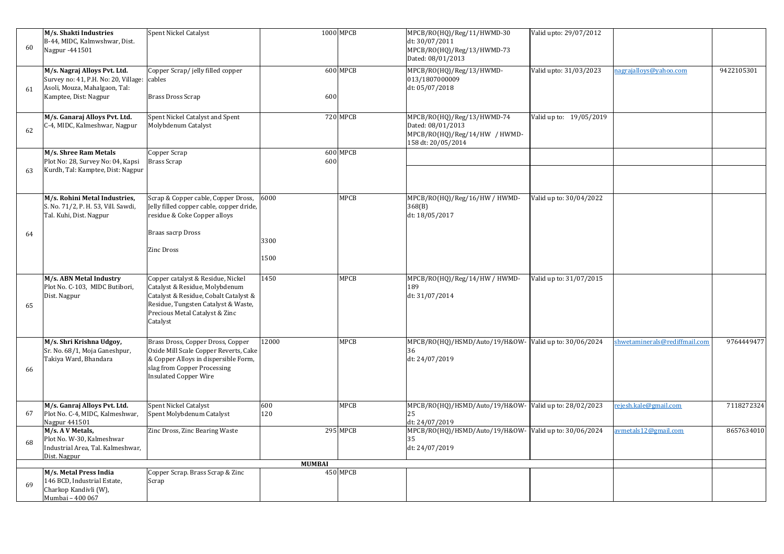| 60 | M/s. Shakti Industries<br>B-44, MIDC, Kalmwshwar, Dist.<br>Nagpur -441501                                                             | Spent Nickel Catalyst                                                                                                                                                                             |               | 1000 MPCB   | MPCB/RO(HQ)/Reg/11/HWMD-30<br>dt: 30/07/2011<br>MPCB/RO(HQ)/Reg/13/HWMD-73<br>Dated: 08/01/2013        | Valid upto: 29/07/2012  |                               |            |
|----|---------------------------------------------------------------------------------------------------------------------------------------|---------------------------------------------------------------------------------------------------------------------------------------------------------------------------------------------------|---------------|-------------|--------------------------------------------------------------------------------------------------------|-------------------------|-------------------------------|------------|
| 61 | M/s. Nagraj Alloys Pvt. Ltd.<br>Survey no: 41, P.H. No: 20, Village: cables<br>Asoli, Mouza, Mahalgaon, Tal:<br>Kamptee, Dist: Nagpur | Copper Scrap/ jelly filled copper<br><b>Brass Dross Scrap</b>                                                                                                                                     | 600           | 600 MPCB    | MPCB/RO(HQ)/Reg/13/HWMD-<br>013/1807000009<br>dt: 05/07/2018                                           | Valid upto: 31/03/2023  | nagrajalloys@yahoo.com        | 9422105301 |
| 62 | M/s. Ganaraj Alloys Pvt. Ltd.<br>C-4, MIDC, Kalmeshwar, Nagpur                                                                        | Spent Nickel Catalyst and Spent<br>Molybdenum Catalyst                                                                                                                                            |               | 720 MPCB    | MPCB/RO(HQ)/Reg/13/HWMD-74<br>Dated: 08/01/2013<br>MPCB/RO(HQ)/Reg/14/HW / HWMD-<br>158 dt: 20/05/2014 | Valid up to: 19/05/2019 |                               |            |
| 63 | M/s. Shree Ram Metals<br>Plot No: 28, Survey No: 04, Kapsi<br>Kurdh, Tal: Kamptee, Dist: Nagpur                                       | Copper Scrap<br><b>Brass Scrap</b>                                                                                                                                                                | 600           | 600 MPCB    |                                                                                                        |                         |                               |            |
| 64 | M/s. Rohini Metal Industries,<br>S. No. 71/2, P. H. 53, Vill. Sawdi,<br>Tal. Kuhi, Dist. Nagpur                                       | Scrap & Copper cable, Copper Dross, 6000<br>Jelly filled copper cable, copper dride,<br>residue & Coke Copper alloys<br>Braas sacrp Dross<br><b>Zinc Dross</b>                                    | 3300<br>1500  | MPCB        | MPCB/RO(HQ)/Reg/16/HW / HWMD-<br>368(B)<br>dt: 18/05/2017                                              | Valid up to: 30/04/2022 |                               |            |
| 65 | M/s. ABN Metal Industry<br>Plot No. C-103, MIDC Butibori,<br>Dist. Nagpur                                                             | Copper catalyst & Residue, Nickel<br>Catalyst & Residue, Molybdenum<br>Catalyst & Residue, Cobalt Catalyst &<br>Residue, Tungsten Catalyst & Waste,<br>Precious Metal Catalyst & Zinc<br>Catalyst | 1450          | <b>MPCB</b> | MPCB/RO(HQ)/Reg/14/HW / HWMD-<br>189<br>dt: 31/07/2014                                                 | Valid up to: 31/07/2015 |                               |            |
| 66 | M/s. Shri Krishna Udgoy,<br>Sr. No. 68/1, Moja Ganeshpur,<br>Takiya Ward, Bhandara                                                    | Brass Dross, Copper Dross, Copper<br>Oxide Mill Scale Copper Reverts, Cake<br>& Copper Alloys in dispersible Form,<br>slag from Copper Processing<br><b>Insulated Copper Wire</b>                 | 12000         | MPCB        | MPCB/RO(HQ)/HSMD/Auto/19/H&OW- Valid up to: 30/06/2024<br>dt: 24/07/2019                               |                         | shwetaminerals@rediffmail.com | 9764449477 |
| 67 | M/s. Ganraj Alloys Pvt. Ltd.<br>Plot No. C-4, MIDC, Kalmeshwar,<br>Nagpur 441501                                                      | <b>Spent Nickel Catalyst</b><br>Spent Molybdenum Catalyst                                                                                                                                         | 600<br>120    | <b>MPCB</b> | MPCB/RO(HQ)/HSMD/Auto/19/H&OW- Valid up to: 28/02/2023<br>25<br>dt: 24/07/2019                         |                         | rejesh.kale@gmail.com         | 7118272324 |
| 68 | M/s. A V Metals,<br>Plot No. W-30, Kalmeshwar<br>Industrial Area, Tal. Kalmeshwar,<br>Dist. Nagpur                                    | Zinc Dross, Zinc Bearing Waste                                                                                                                                                                    |               | 295 MPCB    | MPCB/RO(HQ)/HSMD/Auto/19/H&OW- Valid up to: 30/06/2024<br>dt: 24/07/2019                               |                         | avmetals12@gmail.com          | 8657634010 |
|    |                                                                                                                                       |                                                                                                                                                                                                   | <b>MUMBAI</b> |             |                                                                                                        |                         |                               |            |
| 69 | M/s. Metal Press India<br>146 BCD, Industrial Estate,<br>Charkop Kandivli (W),<br>Mumbai - 400 067                                    | Copper Scrap. Brass Scrap & Zinc<br>Scrap                                                                                                                                                         |               | 450 MPCB    |                                                                                                        |                         |                               |            |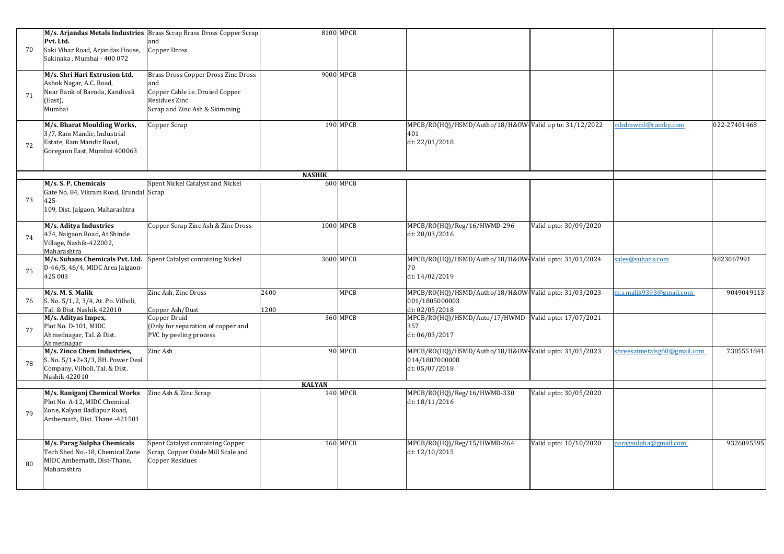| 70 | Pvt. Ltd.<br>Saki Vihar Road, Arjandas House,<br>Sakinaka, Mumbai - 400 072                                                   | M/s. Arjandas Metals Industries Brass Scrap Brass Dross Copper Scrap<br>and<br>Copper Dross                                            |               | 8100 MPCB |                                                                                           |                        |                             |              |
|----|-------------------------------------------------------------------------------------------------------------------------------|----------------------------------------------------------------------------------------------------------------------------------------|---------------|-----------|-------------------------------------------------------------------------------------------|------------------------|-----------------------------|--------------|
| 71 | M/s. Shri Hari Extrusion Ltd.<br>Ashok Nagar, A.C. Road,<br>Near Bank of Baroda, Kandivali<br>(East),<br>Mumbai               | <b>Brass Dross Copper Dross Zinc Dross</b><br>and<br>Copper Cable i.e. Druied Copper<br>Residues Zinc<br>Scrap and Zinc Ash & Skimming |               | 9000 MPCB |                                                                                           |                        |                             |              |
| 72 | M/s. Bharat Moulding Works,<br>3/7, Ram Mandir, Industrial<br>Estate, Ram Mandir Road,<br>Goregaon East, Mumbai 400063        | Copper Scrap                                                                                                                           |               | 190 MPCB  | MPCB/RO(HQ)/HSMD/Autho/18/H&OW-Valid up to: 31/12/2022<br>401<br>dt: 22/01/2018           |                        | mbdmwml@ramky.com           | 022-27401468 |
|    |                                                                                                                               |                                                                                                                                        | <b>NASHIK</b> |           |                                                                                           |                        |                             |              |
| 73 | M/s. S. P. Chemicals<br>Gate No. 84, Vikram Road, Erundal Scrap<br>$425 -$<br>109, Dist. Jalgaon, Maharashtra                 | Spent Nickel Catalyst and Nickel                                                                                                       |               | 600 MPCB  |                                                                                           |                        |                             |              |
| 74 | M/s. Aditya Industries<br>474, Naigaon Road, At Shinde<br>Village, Nashik-422002,<br>Maharashtra                              | Copper Scrap Zinc Ash & Zinc Dross                                                                                                     |               | 1000 MPCB | MPCB/RO(HQ)/Reg/16/HWMD-296<br>dt: 28/03/2016                                             | Valid upto: 30/09/2020 |                             |              |
| 75 | M/s. Suhans Chemicals Pvt. Ltd.<br>D-46/5, 46/4, MIDC Area Jalgaon-<br>425 003                                                | Spent Catalyst containing Nickel                                                                                                       |               | 3600 MPCB | MPCB/RO(HQ)/HSMD/Autho/18/H&OW-Valid upto: 31/01/2024<br>dt: 14/02/2019                   |                        | sales@suhans.com            | 9823067991   |
| 76 | M/s. M. S. Malik<br>S. No. 5/1, 2, 3/4, At. Po. Vilholi,<br>Tal. & Dist. Nashik 422010                                        | Zinc Ash, Zinc Dross<br>Copper Ash/Dust                                                                                                | 2400<br>1200  | MPCB      | MPCB/RO(HQ)/HSMD/Autho/18/H&OW-Valid upto: 31/03/2023<br>001/1805000003<br>dt: 02/05/2018 |                        | m.s.malik9393@gmail.com     | 9049049113   |
| 77 | M/s. Adityas Impex,<br>Plot No. D-101, MIDC<br>Ahmednagar, Tal. & Dist.<br>Ahmednagar                                         | Copper Druid<br>(Only for separation of copper and<br>PVC by peeling process                                                           |               | 360 MPCB  | MPCB/RO(HQ)/HSMD/Auto/17/HWMD- Valid upto: 17/07/2021<br>357<br>dt: 06/03/2017            |                        |                             |              |
| 78 | M/s. Zinco Chem Industries,<br>S. No. 5/1+2+3/3, BH. Power Deal<br>Company, Vilholi, Tal. & Dist.<br>Nashik 422010            | Zinc Ash                                                                                                                               |               | 90 MPCB   | MPCB/RO(HQ)/HSMD/Autho/18/H&OW-Valid upto: 31/05/2023<br>014/1807000008<br>dt: 05/07/2018 |                        | shreesaimetalsg60@gmail.com | 7385551841   |
|    |                                                                                                                               |                                                                                                                                        | <b>KALYAN</b> |           |                                                                                           |                        |                             |              |
| 79 | M/s. Raniganj Chemical Works<br>Plot No. A-12, MIDC Chemical<br>Zone, Kalyan Badlapur Road,<br>Ambernath, Dist. Thane -421501 | Zinc Ash & Zinc Scrap                                                                                                                  |               | 140 MPCB  | MPCB/RO(HQ)/Reg/16/HWMD-330<br>dt: 18/11/2016                                             | Valid upto: 30/05/2020 |                             |              |
| 80 | M/s. Parag Sulpha Chemicals<br>Tech Shed No.-18, Chemical Zone<br>MIDC Ambernath, Dist-Thane,<br>Maharashtra                  | Spent Catalyst containing Copper<br>Scrap, Copper Oxide Mill Scale and<br><b>Copper Residues</b>                                       |               | 160 MPCB  | MPCB/RO(HQ)/Reg/15/HWMD-264<br>dt: 12/10/2015                                             | Valid upto: 10/10/2020 | paragsulpha@gmail.com       | 9326095595   |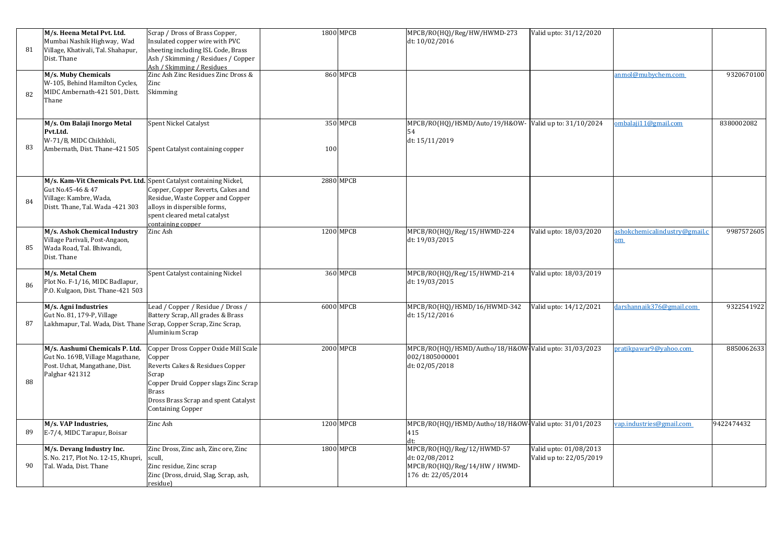| 81 | M/s. Heena Metal Pvt. Ltd.<br>Mumbai Nashik Highway, Wad<br>Village, Khativali, Tal. Shahapur,<br>Dist. Thane                                         | Scrap / Dross of Brass Copper,<br>Insulated copper wire with PVC<br>sheeting including ISL Code, Brass<br>Ash / Skimming / Residues / Copper<br>Ash / Skimming / Residues                                              |     | 1800 MPCB        | MPCB/RO(HQ)/Reg/HW/HWMD-273<br>dt: 10/02/2016                                                       | Valid upto: 31/12/2020                            |                                                 |            |
|----|-------------------------------------------------------------------------------------------------------------------------------------------------------|------------------------------------------------------------------------------------------------------------------------------------------------------------------------------------------------------------------------|-----|------------------|-----------------------------------------------------------------------------------------------------|---------------------------------------------------|-------------------------------------------------|------------|
| 82 | M/s. Muby Chemicals<br>W-105, Behind Hamilton Cycles,<br>MIDC Ambernath-421 501, Distt.<br>Thane                                                      | Zinc Ash Zinc Residues Zinc Dross &<br>Zinc<br>Skimming                                                                                                                                                                |     | <b>860 MPCB</b>  |                                                                                                     |                                                   | anmol@mubychem.com                              | 9320670100 |
| 83 | M/s. Om Balaji Inorgo Metal<br>Pvt.Ltd.<br>W-71/B, MIDC Chikhloli,<br>Ambernath, Dist. Thane-421 505                                                  | Spent Nickel Catalyst<br>Spent Catalyst containing copper                                                                                                                                                              | 100 | 350 MPCB         | MPCB/RO(HQ)/HSMD/Auto/19/H&OW- Valid up to: 31/10/2024<br>dt: 15/11/2019                            |                                                   | ombalaji11@gmail.com                            | 8380002082 |
| 84 | M/s. Kam-Vit Chemicals Pvt. Ltd. Spent Catalyst containing Nickel,<br>Gut No.45-46 & 47<br>Village: Kambre, Wada,<br>Distt. Thane, Tal. Wada -421 303 | Copper, Copper Reverts, Cakes and<br>Residue, Waste Copper and Copper<br>alloys in dispersible forms,<br>spent cleared metal catalyst<br>containing copper                                                             |     | 2880 MPCB        |                                                                                                     |                                                   |                                                 |            |
| 85 | M/s. Ashok Chemical Industry<br>Village Parivali, Post-Angaon,<br>Wada Road, Tal. Bhiwandi,<br>Dist. Thane                                            | Zinc Ash                                                                                                                                                                                                               |     | $1200$ MPCB      | MPCB/RO(HQ)/Reg/15/HWMD-224<br>dt: 19/03/2015                                                       | Valid upto: 18/03/2020                            | ashokchemicalindustry@gmail.c<br>$_{\text{om}}$ | 9987572605 |
| 86 | M/s. Metal Chem<br>Plot No. F-1/16, MIDC Badlapur,<br>P.O. Kulgaon, Dist. Thane-421 503                                                               | Spent Catalyst containing Nickel                                                                                                                                                                                       |     | 360 MPCB         | MPCB/RO(HQ)/Reg/15/HWMD-214<br>dt: 19/03/2015                                                       | Valid upto: 18/03/2019                            |                                                 |            |
| 87 | M/s. Agni Industries<br>Gut No. 81, 179-P, Village<br>Lakhmapur, Tal. Wada, Dist. Thane Scrap, Copper Scrap, Zinc Scrap,                              | Lead / Copper / Residue / Dross /<br>Battery Scrap, All grades & Brass<br>Aluminium Scrap                                                                                                                              |     | 6000 MPCB        | MPCB/RO(HQ)/HSMD/16/HWMD-342<br>dt: 15/12/2016                                                      | Valid upto: 14/12/2021                            | darshannaik376@gmail.com                        | 9322541922 |
| 88 | M/s. Aashumi Chemicals P. Ltd.<br>Gut No. 169B, Village Magathane,<br>Post. Uchat, Mangathane, Dist.<br>Palghar 421312                                | Copper Dross Copper Oxide Mill Scale<br>Copper<br>Reverts Cakes & Residues Copper<br>Scrap<br>Copper Druid Copper slags Zinc Scrap<br><b>Brass</b><br>Dross Brass Scrap and spent Catalyst<br><b>Containing Copper</b> |     | <b>2000 MPCB</b> | MPCB/RO(HQ)/HSMD/Autho/18/H&OW-Valid upto: 31/03/2023<br>002/1805000001<br>dt: 02/05/2018           |                                                   | pratikpawar9@yahoo.com                          | 8850062633 |
| 89 | M/s. VAP Industries,<br>E-7/4, MIDC Tarapur, Boisar                                                                                                   | Zinc Ash                                                                                                                                                                                                               |     | 1200 MPCB        | MPCB/RO(HQ)/HSMD/Autho/18/H&OW-Valid upto: 31/01/2023<br>415                                        |                                                   | ap.industries@gmail.com                         | 9422474432 |
| 90 | M/s. Devang Industry Inc.<br>S. No. 217, Plot No. 12-15, Khupri,<br>Tal. Wada, Dist. Thane                                                            | Zinc Dross, Zinc ash, Zinc ore, Zinc<br>scull,<br>Zinc residue, Zinc scrap<br>Zinc (Dross, druid, Slag, Scrap, ash,<br>residue)                                                                                        |     | 1800 MPCB        | MPCB/RO(HQ)/Reg/12/HWMD-57<br>dt: 02/08/2012<br>MPCB/RO(HQ)/Reg/14/HW / HWMD-<br>176 dt: 22/05/2014 | Valid upto: 01/08/2013<br>Valid up to: 22/05/2019 |                                                 |            |